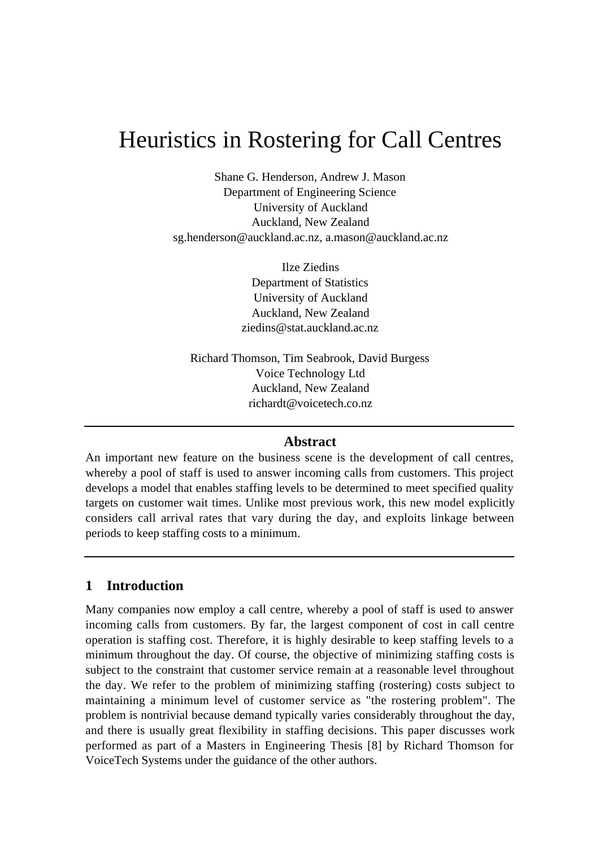# Heuristics in Rostering for Call Centres

Shane G. Henderson, Andrew J. Mason Department of Engineering Science University of Auckland Auckland, New Zealand sg.henderson@auckland.ac.nz, a.mason@auckland.ac.nz

> Ilze Ziedins Department of Statistics University of Auckland Auckland, New Zealand ziedins@stat.auckland.ac.nz

Richard Thomson, Tim Seabrook, David Burgess Voice Technology Ltd Auckland, New Zealand richardt@voicetech.co.nz

#### **Abstract**

An important new feature on the business scene is the development of call centres, whereby a pool of staff is used to answer incoming calls from customers. This project develops a model that enables staffing levels to be determined to meet specified quality targets on customer wait times. Unlike most previous work, this new model explicitly considers call arrival rates that vary during the day, and exploits linkage between periods to keep staffing costs to a minimum.

## **1 Introduction**

Many companies now employ a call centre, whereby a pool of staff is used to answer incoming calls from customers. By far, the largest component of cost in call centre operation is staffing cost. Therefore, it is highly desirable to keep staffing levels to a minimum throughout the day. Of course, the objective of minimizing staffing costs is subject to the constraint that customer service remain at a reasonable level throughout the day. We refer to the problem of minimizing staffing (rostering) costs subject to maintaining a minimum level of customer service as "the rostering problem". The problem is nontrivial because demand typically varies considerably throughout the day, and there is usually great flexibility in staffing decisions. This paper discusses work performed as part of a Masters in Engineering Thesis [8] by Richard Thomson for VoiceTech Systems under the guidance of the other authors.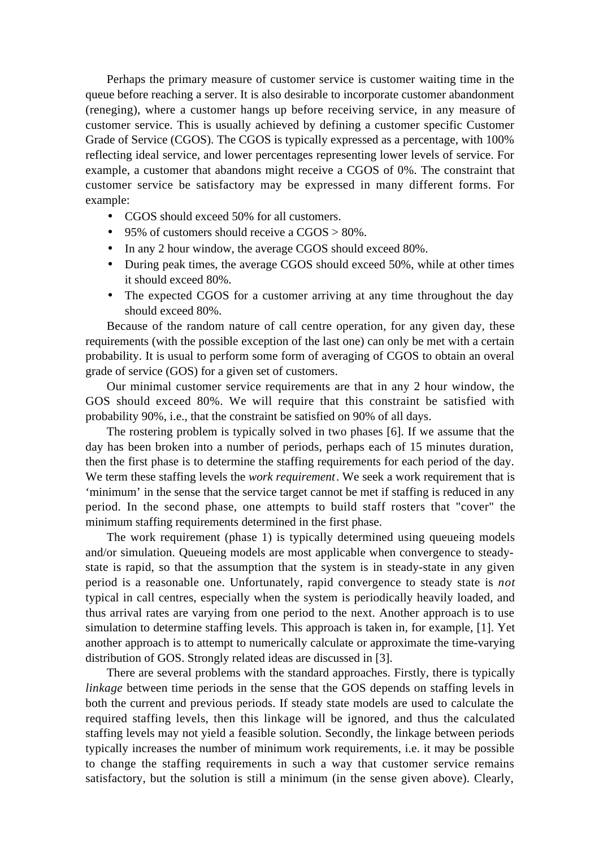Perhaps the primary measure of customer service is customer waiting time in the queue before reaching a server. It is also desirable to incorporate customer abandonment (reneging), where a customer hangs up before receiving service, in any measure of customer service. This is usually achieved by defining a customer specific Customer Grade of Service (CGOS). The CGOS is typically expressed as a percentage, with 100% reflecting ideal service, and lower percentages representing lower levels of service. For example, a customer that abandons might receive a CGOS of 0%. The constraint that customer service be satisfactory may be expressed in many different forms. For example:

- CGOS should exceed 50% for all customers.
- 95% of customers should receive a  $CGOS > 80\%$ .
- In any 2 hour window, the average CGOS should exceed 80%.
- During peak times, the average CGOS should exceed 50%, while at other times it should exceed 80%.
- The expected CGOS for a customer arriving at any time throughout the day should exceed 80%.

Because of the random nature of call centre operation, for any given day, these requirements (with the possible exception of the last one) can only be met with a certain probability. It is usual to perform some form of averaging of CGOS to obtain an overal grade of service (GOS) for a given set of customers.

Our minimal customer service requirements are that in any 2 hour window, the GOS should exceed 80%. We will require that this constraint be satisfied with probability 90%, i.e., that the constraint be satisfied on 90% of all days.

The rostering problem is typically solved in two phases [6]. If we assume that the day has been broken into a number of periods, perhaps each of 15 minutes duration, then the first phase is to determine the staffing requirements for each period of the day. We term these staffing levels the *work requirement*. We seek a work requirement that is 'minimum' in the sense that the service target cannot be met if staffing is reduced in any period. In the second phase, one attempts to build staff rosters that "cover" the minimum staffing requirements determined in the first phase.

The work requirement (phase 1) is typically determined using queueing models and/or simulation. Queueing models are most applicable when convergence to steadystate is rapid, so that the assumption that the system is in steady-state in any given period is a reasonable one. Unfortunately, rapid convergence to steady state is *not* typical in call centres, especially when the system is periodically heavily loaded, and thus arrival rates are varying from one period to the next. Another approach is to use simulation to determine staffing levels. This approach is taken in, for example, [1]. Yet another approach is to attempt to numerically calculate or approximate the time-varying distribution of GOS. Strongly related ideas are discussed in [3].

There are several problems with the standard approaches. Firstly, there is typically *linkage* between time periods in the sense that the GOS depends on staffing levels in both the current and previous periods. If steady state models are used to calculate the required staffing levels, then this linkage will be ignored, and thus the calculated staffing levels may not yield a feasible solution. Secondly, the linkage between periods typically increases the number of minimum work requirements, i.e. it may be possible to change the staffing requirements in such a way that customer service remains satisfactory, but the solution is still a minimum (in the sense given above). Clearly,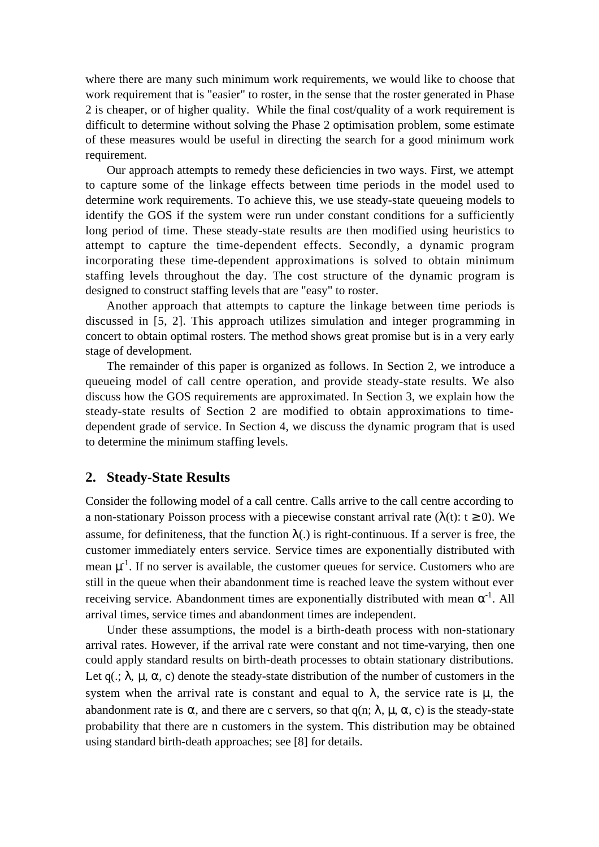where there are many such minimum work requirements, we would like to choose that work requirement that is "easier" to roster, in the sense that the roster generated in Phase 2 is cheaper, or of higher quality. While the final cost/quality of a work requirement is difficult to determine without solving the Phase 2 optimisation problem, some estimate of these measures would be useful in directing the search for a good minimum work requirement.

Our approach attempts to remedy these deficiencies in two ways. First, we attempt to capture some of the linkage effects between time periods in the model used to determine work requirements. To achieve this, we use steady-state queueing models to identify the GOS if the system were run under constant conditions for a sufficiently long period of time. These steady-state results are then modified using heuristics to attempt to capture the time-dependent effects. Secondly, a dynamic program incorporating these time-dependent approximations is solved to obtain minimum staffing levels throughout the day. The cost structure of the dynamic program is designed to construct staffing levels that are "easy" to roster.

Another approach that attempts to capture the linkage between time periods is discussed in [5, 2]. This approach utilizes simulation and integer programming in concert to obtain optimal rosters. The method shows great promise but is in a very early stage of development.

The remainder of this paper is organized as follows. In Section 2, we introduce a queueing model of call centre operation, and provide steady-state results. We also discuss how the GOS requirements are approximated. In Section 3, we explain how the steady-state results of Section 2 are modified to obtain approximations to timedependent grade of service. In Section 4, we discuss the dynamic program that is used to determine the minimum staffing levels.

#### **2. Steady-State Results**

Consider the following model of a call centre. Calls arrive to the call centre according to a non-stationary Poisson process with a piecewise constant arrival rate ( $\lambda(t)$ :  $t \ge 0$ ). We assume, for definiteness, that the function  $\lambda(.)$  is right-continuous. If a server is free, the customer immediately enters service. Service times are exponentially distributed with mean  $\mu^{-1}$ . If no server is available, the customer queues for service. Customers who are still in the queue when their abandonment time is reached leave the system without ever receiving service. Abandonment times are exponentially distributed with mean  $\alpha^{-1}$ . All arrival times, service times and abandonment times are independent.

Under these assumptions, the model is a birth-death process with non-stationary arrival rates. However, if the arrival rate were constant and not time-varying, then one could apply standard results on birth-death processes to obtain stationary distributions. Let q( $\cdot$ ;  $\lambda$ ,  $\mu$ ,  $\alpha$ , c) denote the steady-state distribution of the number of customers in the system when the arrival rate is constant and equal to  $\lambda$ , the service rate is  $\mu$ , the abandonment rate is  $\alpha$ , and there are c servers, so that  $q(n; \lambda, \mu, \alpha, c)$  is the steady-state probability that there are n customers in the system. This distribution may be obtained using standard birth-death approaches; see [8] for details.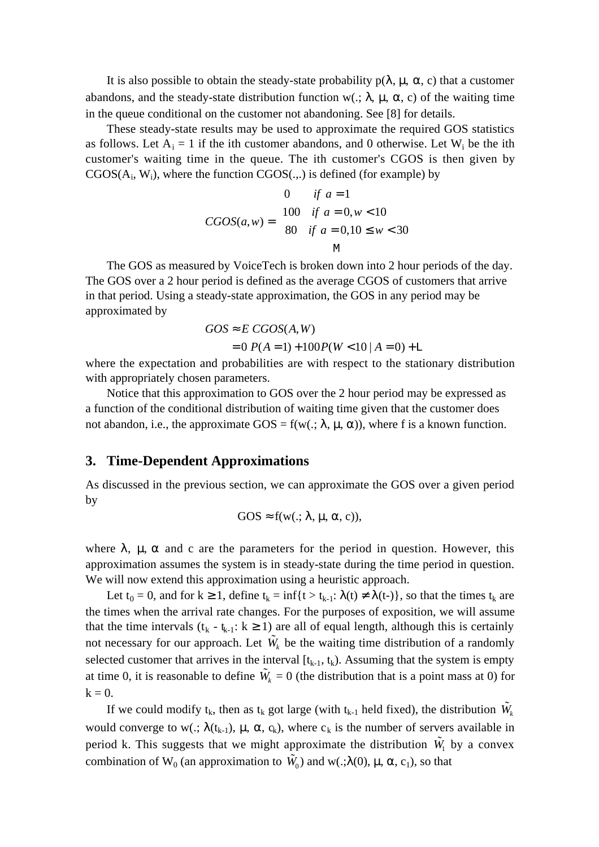It is also possible to obtain the steady-state probability  $p(\lambda, \mu, \alpha, c)$  that a customer abandons, and the steady-state distribution function w(.;  $\lambda$ ,  $\mu$ ,  $\alpha$ , c) of the waiting time in the queue conditional on the customer not abandoning. See [8] for details.

These steady-state results may be used to approximate the required GOS statistics as follows. Let  $A_i = 1$  if the ith customer abandons, and 0 otherwise. Let  $W_i$  be the ith customer's waiting time in the queue. The ith customer's CGOS is then given by  $CGOS(A<sub>i</sub>, W<sub>i</sub>)$ , where the function  $CGOS(.,.)$  is defined (for example) by

$$
CGOS(a, w) = \begin{cases} 0 & \text{if } a = 1 \\ 100 & \text{if } a = 0, w < 10 \\ 80 & \text{if } a = 0, 10 \le w < 30 \\ & \text{M} \end{cases}
$$

The GOS as measured by VoiceTech is broken down into 2 hour periods of the day. The GOS over a 2 hour period is defined as the average CGOS of customers that arrive in that period. Using a steady-state approximation, the GOS in any period may be approximated by

$$
GOS \approx E \, CGOS(A, W)
$$
  
= 0 P(A = 1) + 100 P(W < 10 | A = 0) + L

where the expectation and probabilities are with respect to the stationary distribution with appropriately chosen parameters.

Notice that this approximation to GOS over the 2 hour period may be expressed as a function of the conditional distribution of waiting time given that the customer does not abandon, i.e., the approximate  $GOS = f(w(.; \lambda, \mu, \alpha))$ , where f is a known function.

#### **3. Time-Dependent Approximations**

As discussed in the previous section, we can approximate the GOS over a given period by

$$
GOS \approx f(w(.; \lambda, \mu, \alpha, c)),
$$

where  $\lambda$ ,  $\mu$ ,  $\alpha$  and c are the parameters for the period in question. However, this approximation assumes the system is in steady-state during the time period in question. We will now extend this approximation using a heuristic approach.

Let  $t_0 = 0$ , and for  $k \ge 1$ , define  $t_k = \inf\{t > t_{k-1}: \lambda(t) \neq \lambda(t-\epsilon)\}\)$ , so that the times  $t_k$  are the times when the arrival rate changes. For the purposes of exposition, we will assume that the time intervals  $(t_k - t_{k-1}: k \ge 1)$  are all of equal length, although this is certainly not necessary for our approach. Let  $\tilde{W}_k$  be the waiting time distribution of a randomly selected customer that arrives in the interval  $[t_{k-1}, t_k)$ . Assuming that the system is empty at time 0, it is reasonable to define  $\tilde{W}_k = 0$  (the distribution that is a point mass at 0) for  $k = 0$ .

If we could modify  $t_k$ , then as  $t_k$  got large (with  $t_{k-1}$  held fixed), the distribution  $\tilde{W}_k$ would converge to w(.;  $\lambda(t_{k-1})$ ,  $\mu$ ,  $\alpha$ ,  $c_k$ ), where  $c_k$  is the number of servers available in period k. This suggests that we might approximate the distribution  $\tilde{W}_1$  by a convex combination of W<sub>0</sub> (an approximation to  $\tilde{W}_0$ ) and w(.; $\lambda$ (0),  $\mu$ ,  $\alpha$ , c<sub>1</sub>), so that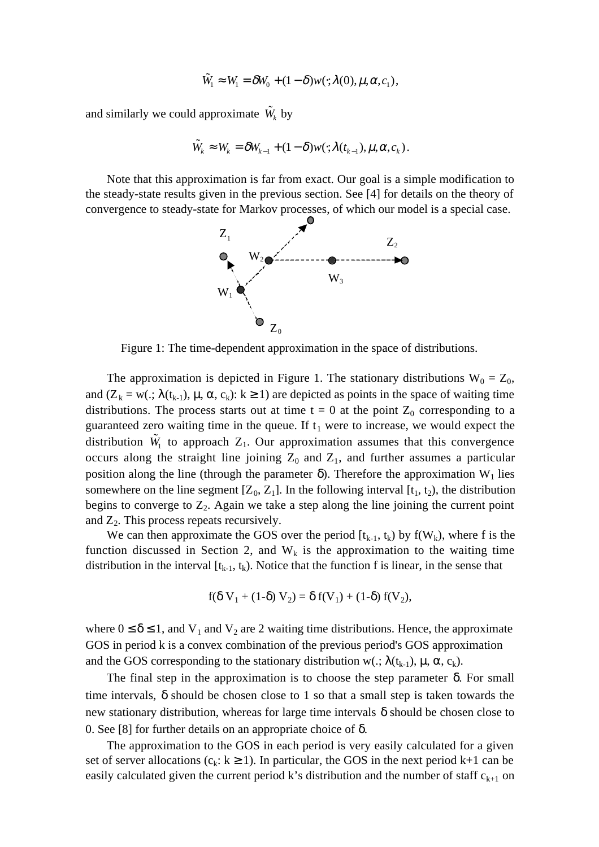$$
\tilde{W}_1 \approx W_1 = \delta W_0 + (1 - \delta) w(\cdot; \lambda(0), \mu, \alpha, c_1),
$$

and similarly we could approximate  $\tilde{W}_k$  by

$$
\widetilde{W}_k \approx W_k = \delta W_{k-1} + (1-\delta)w(\cdot;\lambda(t_{k-1}),\mu,\alpha,c_k).
$$

Note that this approximation is far from exact. Our goal is a simple modification to the steady-state results given in the previous section. See [4] for details on the theory of convergence to steady-state for Markov processes, of which our model is a special case.



Figure 1: The time-dependent approximation in the space of distributions.

The approximation is depicted in Figure 1. The stationary distributions  $W_0 = Z_0$ , and  $(Z_k = w): \lambda(t_{k-1}), \mu, \alpha, c_k): k \ge 1$  are depicted as points in the space of waiting time distributions. The process starts out at time  $t = 0$  at the point  $Z_0$  corresponding to a guaranteed zero waiting time in the queue. If  $t_1$  were to increase, we would expect the distribution  $\tilde{W}_1$  to approach  $Z_1$ . Our approximation assumes that this convergence occurs along the straight line joining  $Z_0$  and  $Z_1$ , and further assumes a particular position along the line (through the parameter  $\delta$ ). Therefore the approximation W<sub>1</sub> lies somewhere on the line segment  $[Z_0, Z_1]$ . In the following interval  $[t_1, t_2)$ , the distribution begins to converge to  $Z_2$ . Again we take a step along the line joining the current point and  $Z_2$ . This process repeats recursively.

We can then approximate the GOS over the period  $[t_{k-1}, t_k)$  by  $f(W_k)$ , where f is the function discussed in Section 2, and  $W_k$  is the approximation to the waiting time distribution in the interval  $[t_{k-1}, t_k)$ . Notice that the function f is linear, in the sense that

$$
f(\delta V_1 + (1-\delta) V_2) = \delta f(V_1) + (1-\delta) f(V_2),
$$

where  $0 \le \delta \le 1$ , and  $V_1$  and  $V_2$  are 2 waiting time distributions. Hence, the approximate GOS in period k is a convex combination of the previous period's GOS approximation and the GOS corresponding to the stationary distribution w(.;  $\lambda(t_{k-1})$ ,  $\mu$ ,  $\alpha$ ,  $c_k$ ).

The final step in the approximation is to choose the step parameter  $\delta$ . For small time intervals,  $\delta$  should be chosen close to 1 so that a small step is taken towards the new stationary distribution, whereas for large time intervals  $\delta$  should be chosen close to 0. See [8] for further details on an appropriate choice of δ.

The approximation to the GOS in each period is very easily calculated for a given set of server allocations (c<sub>k</sub>: k  $\geq$  1). In particular, the GOS in the next period k+1 can be easily calculated given the current period k's distribution and the number of staff  $c_{k+1}$  on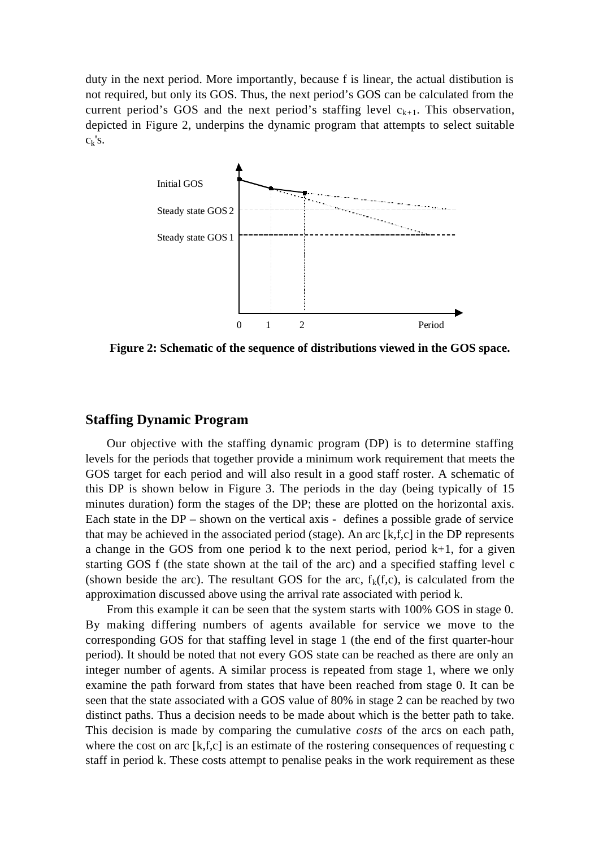duty in the next period. More importantly, because f is linear, the actual distibution is not required, but only its GOS. Thus, the next period's GOS can be calculated from the current period's GOS and the next period's staffing level  $c_{k+1}$ . This observation, depicted in Figure 2, underpins the dynamic program that attempts to select suitable  $c_k's$ .



**Figure 2: Schematic of the sequence of distributions viewed in the GOS space.**

#### **Staffing Dynamic Program**

Our objective with the staffing dynamic program (DP) is to determine staffing levels for the periods that together provide a minimum work requirement that meets the GOS target for each period and will also result in a good staff roster. A schematic of this DP is shown below in Figure 3. The periods in the day (being typically of 15 minutes duration) form the stages of the DP; these are plotted on the horizontal axis. Each state in the DP – shown on the vertical axis - defines a possible grade of service that may be achieved in the associated period (stage). An arc  $[k,f,c]$  in the DP represents a change in the GOS from one period  $k$  to the next period, period  $k+1$ , for a given starting GOS f (the state shown at the tail of the arc) and a specified staffing level c (shown beside the arc). The resultant GOS for the arc,  $f_k(f,c)$ , is calculated from the approximation discussed above using the arrival rate associated with period k.

From this example it can be seen that the system starts with 100% GOS in stage 0. By making differing numbers of agents available for service we move to the corresponding GOS for that staffing level in stage 1 (the end of the first quarter-hour period). It should be noted that not every GOS state can be reached as there are only an integer number of agents. A similar process is repeated from stage 1, where we only examine the path forward from states that have been reached from stage 0. It can be seen that the state associated with a GOS value of 80% in stage 2 can be reached by two distinct paths. Thus a decision needs to be made about which is the better path to take. This decision is made by comparing the cumulative *costs* of the arcs on each path, where the cost on arc  $[k,f,c]$  is an estimate of the rostering consequences of requesting c staff in period k. These costs attempt to penalise peaks in the work requirement as these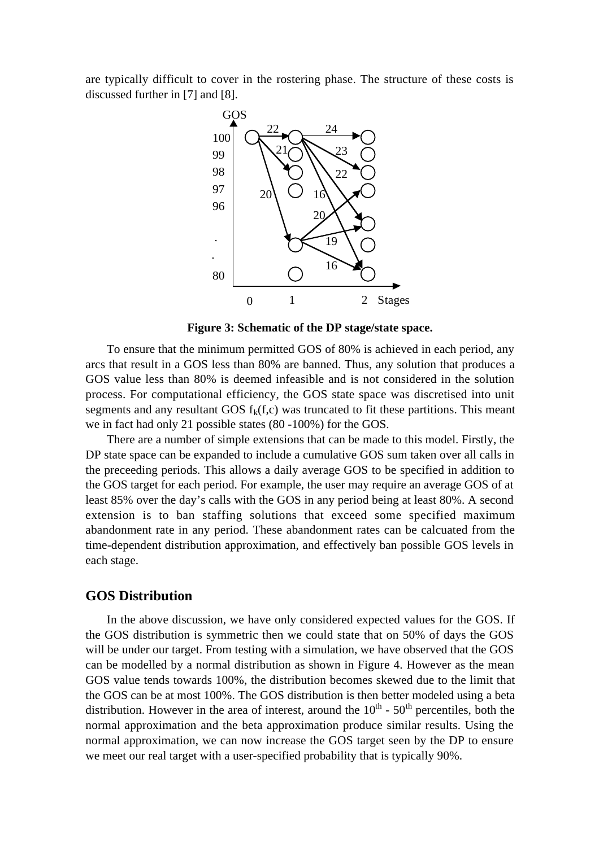are typically difficult to cover in the rostering phase. The structure of these costs is discussed further in [7] and [8].



**Figure 3: Schematic of the DP stage/state space.**

To ensure that the minimum permitted GOS of 80% is achieved in each period, any arcs that result in a GOS less than 80% are banned. Thus, any solution that produces a GOS value less than 80% is deemed infeasible and is not considered in the solution process. For computational efficiency, the GOS state space was discretised into unit segments and any resultant GOS  $f_k(f,c)$  was truncated to fit these partitions. This meant we in fact had only 21 possible states (80 -100%) for the GOS.

There are a number of simple extensions that can be made to this model. Firstly, the DP state space can be expanded to include a cumulative GOS sum taken over all calls in the preceeding periods. This allows a daily average GOS to be specified in addition to the GOS target for each period. For example, the user may require an average GOS of at least 85% over the day's calls with the GOS in any period being at least 80%. A second extension is to ban staffing solutions that exceed some specified maximum abandonment rate in any period. These abandonment rates can be calcuated from the time-dependent distribution approximation, and effectively ban possible GOS levels in each stage.

### **GOS Distribution**

In the above discussion, we have only considered expected values for the GOS. If the GOS distribution is symmetric then we could state that on 50% of days the GOS will be under our target. From testing with a simulation, we have observed that the GOS can be modelled by a normal distribution as shown in Figure 4. However as the mean GOS value tends towards 100%, the distribution becomes skewed due to the limit that the GOS can be at most 100%. The GOS distribution is then better modeled using a beta distribution. However in the area of interest, around the  $10<sup>th</sup>$  -  $50<sup>th</sup>$  percentiles, both the normal approximation and the beta approximation produce similar results. Using the normal approximation, we can now increase the GOS target seen by the DP to ensure we meet our real target with a user-specified probability that is typically 90%.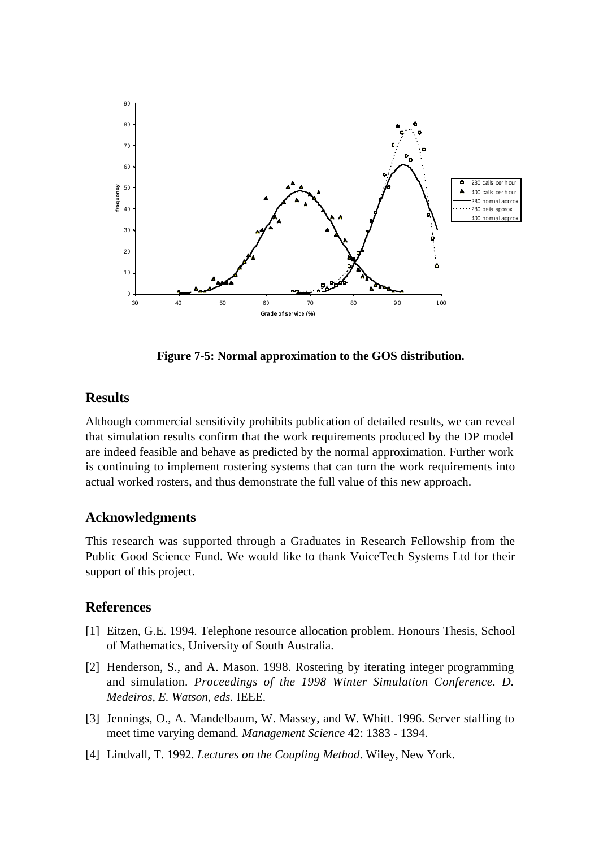

**Figure 7-5: Normal approximation to the GOS distribution.**

# **Results**

Although commercial sensitivity prohibits publication of detailed results, we can reveal that simulation results confirm that the work requirements produced by the DP model are indeed feasible and behave as predicted by the normal approximation. Further work is continuing to implement rostering systems that can turn the work requirements into actual worked rosters, and thus demonstrate the full value of this new approach.

# **Acknowledgments**

This research was supported through a Graduates in Research Fellowship from the Public Good Science Fund. We would like to thank VoiceTech Systems Ltd for their support of this project.

# **References**

- [1] Eitzen, G.E. 1994. Telephone resource allocation problem. Honours Thesis, School of Mathematics, University of South Australia.
- [2] Henderson, S., and A. Mason. 1998. Rostering by iterating integer programming and simulation. *Proceedings of the 1998 Winter Simulation Conference. D. Medeiros, E. Watson, eds.* IEEE.
- [3] Jennings, O., A. Mandelbaum, W. Massey, and W. Whitt. 1996. Server staffing to meet time varying demand*. Management Science* 42: 1383 - 1394.
- [4] Lindvall, T. 1992. *Lectures on the Coupling Method*. Wiley, New York.